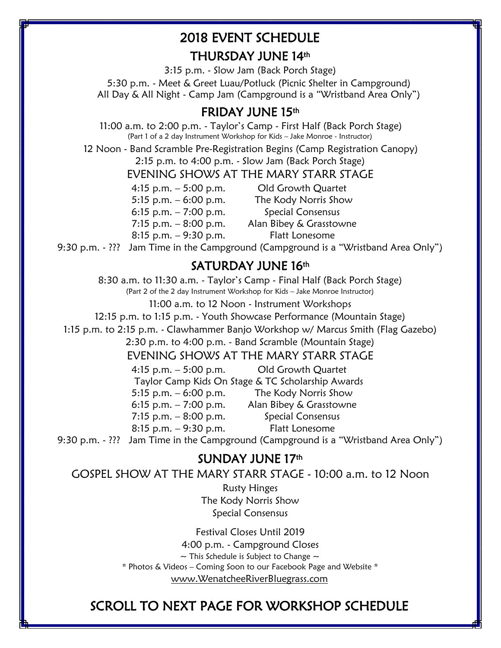## 2018 EVENT SCHEDULE THURSDAY JUNE 14th

3:15 p.m. - Slow Jam (Back Porch Stage) 5:30 p.m. - Meet & Greet Luau/Potluck (Picnic Shelter in Campground) All Day & All Night - Camp Jam (Campground is a "Wristband Area Only")

## FRIDAY JUNE 15th

11:00 a.m. to 2:00 p.m. - Taylor's Camp - First Half (Back Porch Stage) (Part 1 of a 2 day Instrument Workshop for Kids – Jake Monroe - Instructor)

12 Noon - Band Scramble Pre-Registration Begins (Camp Registration Canopy) 2:15 p.m. to 4:00 p.m. - Slow Jam (Back Porch Stage)

EVENING SHOWS AT THE MARY STARR STAGE

4:15 p.m. – 5:00 p.m. Old Growth Quartet 5:15 p.m. – 6:00 p.m. The Kody Norris Show 6:15 p.m.  $-7:00$  p.m. Special Consensus 7:15 p.m. – 8:00 p.m. Alan Bibey & Grasstowne 8:15 p.m. – 9:30 p.m. Flatt Lonesome

9:30 p.m. - ??? Jam Time in the Campground (Campground is a "Wristband Area Only")

### SATURDAY JUNE 16th

8:30 a.m. to 11:30 a.m. - Taylor's Camp - Final Half (Back Porch Stage)

(Part 2 of the 2 day Instrument Workshop for Kids – Jake Monroe Instructor)

11:00 a.m. to 12 Noon - Instrument Workshops

12:15 p.m. to 1:15 p.m. - Youth Showcase Performance (Mountain Stage)

1:15 p.m. to 2:15 p.m. - Clawhammer Banjo Workshop w/ Marcus Smith (Flag Gazebo)

2:30 p.m. to 4:00 p.m. - Band Scramble (Mountain Stage)

#### EVENING SHOWS AT THE MARY STARR STAGE

|                        | 4:15 p.m. $-5:00$ p.m. Old Growth Quartet                            |
|------------------------|----------------------------------------------------------------------|
|                        | Taylor Camp Kids On Stage & TC Scholarship Awards                    |
| 5:15 p.m. $-6:00$ p.m. | The Kody Norris Show                                                 |
| 6:15 p.m. $-7:00$ p.m. | Alan Bibey & Grasstowne                                              |
| 7:15 p.m. $-8:00$ p.m. | Special Consensus                                                    |
| 8:15 p.m. $-9:30$ p.m. | Flatt Lonesome                                                       |
|                        | Less Times in the Communicated Communication (Whichborn J.Auge Only) |

9:30 p.m. - ??? Jam Time in the Campground (Campground is a "Wristband Area Only")

### SUNDAY JUNE 17th

GOSPEL SHOW AT THE MARY STARR STAGE - 10:00 a.m. to 12 Noon

Rusty Hinges The Kody Norris Show Special Consensus

Festival Closes Until 2019 4:00 p.m. - Campground Closes  $\sim$  This Schedule is Subject to Change  $\sim$ \* Photos & Videos – Coming Soon to our Facebook Page and Website \* [www.WenatcheeRiverBluegrass.com](http://www.wenatcheeriverbluegrass.com/)

# SCROLL TO NEXT PAGE FOR WORKSHOP SCHEDULE